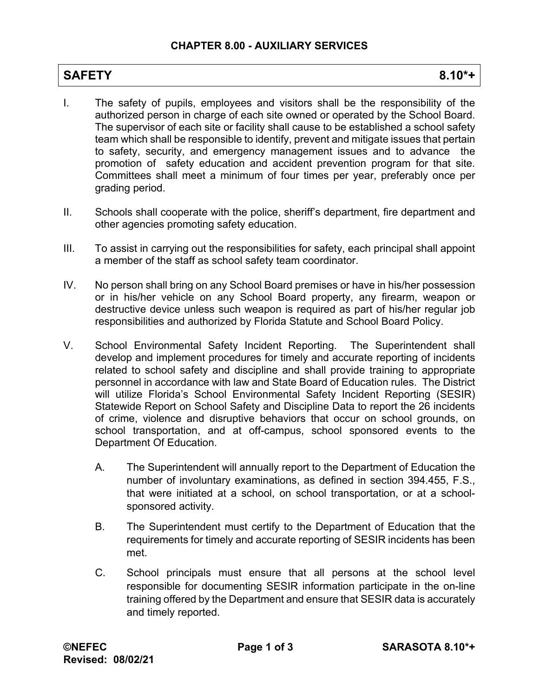## **SAFETY 8.10\*+**

- I. The safety of pupils, employees and visitors shall be the responsibility of the authorized person in charge of each site owned or operated by the School Board. The supervisor of each site or facility shall cause to be established a school safety team which shall be responsible to identify, prevent and mitigate issues that pertain to safety, security, and emergency management issues and to advance the promotion of safety education and accident prevention program for that site. Committees shall meet a minimum of four times per year, preferably once per grading period.
- II. Schools shall cooperate with the police, sheriff's department, fire department and other agencies promoting safety education.
- III. To assist in carrying out the responsibilities for safety, each principal shall appoint a member of the staff as school safety team coordinator.
- IV. No person shall bring on any School Board premises or have in his/her possession or in his/her vehicle on any School Board property, any firearm, weapon or destructive device unless such weapon is required as part of his/her regular job responsibilities and authorized by Florida Statute and School Board Policy.
- V. School Environmental Safety Incident Reporting. The Superintendent shall develop and implement procedures for timely and accurate reporting of incidents related to school safety and discipline and shall provide training to appropriate personnel in accordance with law and State Board of Education rules. The District will utilize Florida's School Environmental Safety Incident Reporting (SESIR) Statewide Report on School Safety and Discipline Data to report the 26 incidents of crime, violence and disruptive behaviors that occur on school grounds, on school transportation, and at off-campus, school sponsored events to the Department Of Education.
	- A. The Superintendent will annually report to the Department of Education the number of involuntary examinations, as defined in section 394.455, F.S., that were initiated at a school, on school transportation, or at a schoolsponsored activity.
	- B. The Superintendent must certify to the Department of Education that the requirements for timely and accurate reporting of SESIR incidents has been met.
	- C. School principals must ensure that all persons at the school level responsible for documenting SESIR information participate in the on-line training offered by the Department and ensure that SESIR data is accurately and timely reported.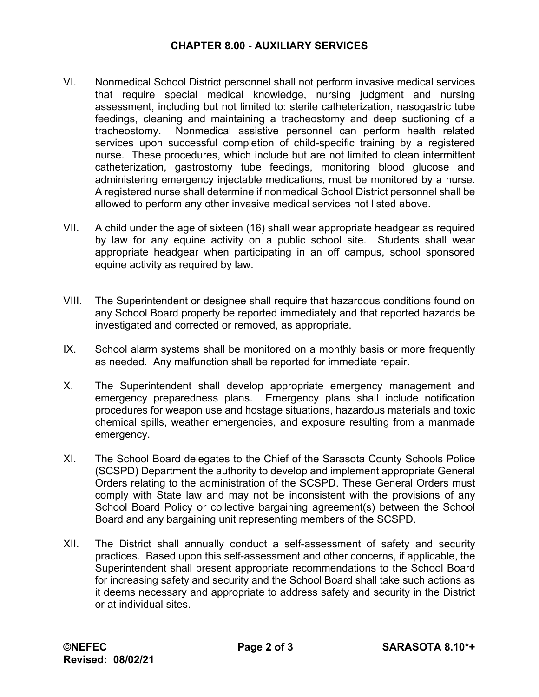## **CHAPTER 8.00 - AUXILIARY SERVICES**

- VI. Nonmedical School District personnel shall not perform invasive medical services that require special medical knowledge, nursing judgment and nursing assessment, including but not limited to: sterile catheterization, nasogastric tube feedings, cleaning and maintaining a tracheostomy and deep suctioning of a tracheostomy. Nonmedical assistive personnel can perform health related services upon successful completion of child-specific training by a registered nurse. These procedures, which include but are not limited to clean intermittent catheterization, gastrostomy tube feedings, monitoring blood glucose and administering emergency injectable medications, must be monitored by a nurse. A registered nurse shall determine if nonmedical School District personnel shall be allowed to perform any other invasive medical services not listed above.
- VII. A child under the age of sixteen (16) shall wear appropriate headgear as required by law for any equine activity on a public school site. Students shall wear appropriate headgear when participating in an off campus, school sponsored equine activity as required by law.
- VIII. The Superintendent or designee shall require that hazardous conditions found on any School Board property be reported immediately and that reported hazards be investigated and corrected or removed, as appropriate.
- IX. School alarm systems shall be monitored on a monthly basis or more frequently as needed. Any malfunction shall be reported for immediate repair.
- X. The Superintendent shall develop appropriate emergency management and emergency preparedness plans. Emergency plans shall include notification procedures for weapon use and hostage situations, hazardous materials and toxic chemical spills, weather emergencies, and exposure resulting from a manmade emergency.
- XI. The School Board delegates to the Chief of the Sarasota County Schools Police (SCSPD) Department the authority to develop and implement appropriate General Orders relating to the administration of the SCSPD. These General Orders must comply with State law and may not be inconsistent with the provisions of any School Board Policy or collective bargaining agreement(s) between the School Board and any bargaining unit representing members of the SCSPD.
- XII. The District shall annually conduct a self-assessment of safety and security practices. Based upon this self-assessment and other concerns, if applicable, the Superintendent shall present appropriate recommendations to the School Board for increasing safety and security and the School Board shall take such actions as it deems necessary and appropriate to address safety and security in the District or at individual sites.